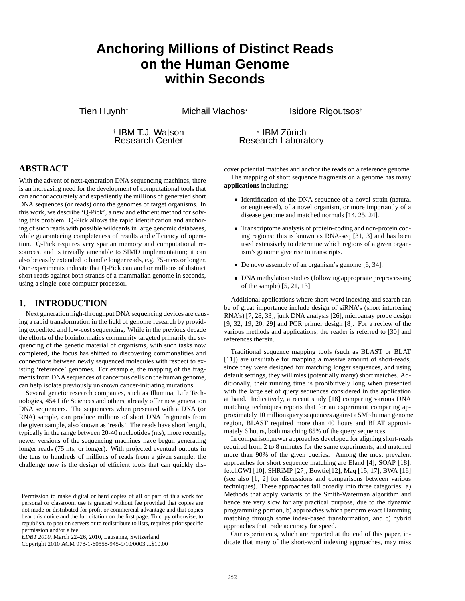# **Anchoring Millions of Distinct Reads on the Human Genome within Seconds**

Tien Huynh<sup>†</sup> Michail Vlachos<sup>\*</sup>

Isidore Rigoutsos†

† IBM T.J. Watson Research Center

? IBM Zürich Research Laboratory

## **ABSTRACT**

With the advent of next-generation DNA sequencing machines, there is an increasing need for the development of computational tools that can anchor accurately and expediently the millions of generated short DNA sequences (or reads) onto the genomes of target organisms. In this work, we describe 'Q-Pick', a new and efficient method for solving this problem. Q-Pick allows the rapid identification and anchoring of such reads with possible wildcards in large genomic databases, while guaranteeing completeness of results and efficiency of operation. Q-Pick requires very spartan memory and computational resources, and is trivially amenable to SIMD implementation; it can also be easily extended to handle longer reads, e.g. 75-mers or longer. Our experiments indicate that Q-Pick can anchor millions of distinct short reads against both strands of a mammalian genome in seconds, using a single-core computer processor.

#### **1. INTRODUCTION**

Next generation high-throughput DNA sequencing devices are causing a rapid transformation in the field of genome research by providing expedited and low-cost sequencing. While in the previous decade the efforts of the bioinformatics community targeted primarily the sequencing of the genetic material of organisms, with such tasks now completed, the focus has shifted to discovering commonalities and connections between newly sequenced molecules with respect to existing 'reference' genomes. For example, the mapping of the fragments from DNA sequences of cancerous cells on the human genome, can help isolate previously unknown cancer-initiating mutations.

Several genetic research companies, such as Illumina, Life Technologies, 454 Life Sciences and others, already offer new generation DNA sequencers. The sequencers when presented with a DNA (or RNA) sample, can produce millions of short DNA fragments from the given sample, also known as 'reads'. The reads have short length, typically in the range between 20-40 nucleotides (nts); more recently, newer versions of the sequencing machines have begun generating longer reads (75 nts, or longer). With projected eventual outputs in the tens to hundreds of millions of reads from a given sample, the challenge now is the design of efficient tools that can quickly dis-

Copyright 2010 ACM 978-1-60558-945-9/10/0003 ...\$10.00

cover potential matches and anchor the reads on a reference genome. The mapping of short sequence fragments on a genome has many **applications** including:

- Identification of the DNA sequence of a novel strain (natural or engineered), of a novel organism, or more importantly of a disease genome and matched normals [14, 25, 24].
- Transcriptome analysis of protein-coding and non-protein coding regions; this is known as RNA-seq [31, 3] and has been used extensively to determine which regions of a given organism's genome give rise to transcripts.
- De novo assembly of an organism's genome [6, 34].
- DNA methylation studies (following appropriate preprocessing of the sample) [5, 21, 13]

Additional applications where short-word indexing and search can be of great importance include design of siRNA's (short interfering RNA's) [7, 28, 33], junk DNA analysis [26], microarray probe design [9, 32, 19, 20, 29] and PCR primer design [8]. For a review of the various methods and applications, the reader is referred to [30] and references therein.

Traditional sequence mapping tools (such as BLAST or BLAT [11]) are unsuitable for mapping a massive amount of short-reads; since they were designed for matching longer sequences, and using default settings, they will miss (potentially many) short matches. Additionally, their running time is prohibitively long when presented with the large set of query sequences considered in the application at hand. Indicatively, a recent study [18] comparing various DNA matching techniques reports that for an experiment comparing approximately 10 million query sequences against a 5Mb human genome region, BLAST required more than 40 hours and BLAT approximately 6 hours, both matching 85% of the query sequences.

In comparison,newer approaches developed for aligning short-reads required from 2 to 8 minutes for the same experiments, and matched more than 90% of the given queries. Among the most prevalent approaches for short sequence matching are Eland [4], SOAP [18], fetchGWI [10], SHRiMP [27], Bowtie[12], Maq [15, 17], BWA [16] (see also [1, 2] for discussions and comparisons between various techniques). These approaches fall broadly into three categories: a) Methods that apply variants of the Smith-Waterman algorithm and hence are very slow for any practical purpose, due to the dynamic programming portion, b) approaches which perform exact Hamming matching through some index-based transformation, and c) hybrid approaches that trade accuracy for speed.

Our experiments, which are reported at the end of this paper, indicate that many of the short-word indexing approaches, may miss

Permission to make digital or hard copies of all or part of this work for personal or classroom use is granted without fee provided that copies are not made or distributed for profit or commercial advantage and that copies bear this notice and the full citation on the first page. To copy otherwise, to republish, to post on servers or to redistribute to lists, requires prior specific permission and/or a fee.

*EDBT 2010*, March 22–26, 2010, Lausanne, Switzerland.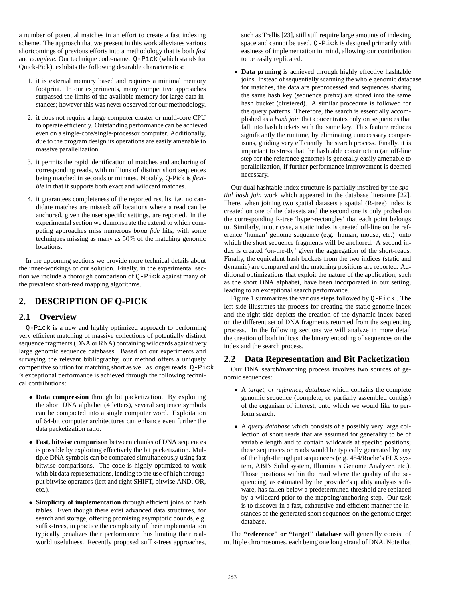a number of potential matches in an effort to create a fast indexing scheme. The approach that we present in this work alleviates various shortcomings of previous efforts into a methodology that is both *fast* and *complete*. Our technique code-named Q-Pick (which stands for Quick-Pick), exhibits the following desirable characteristics:

- 1. it is external memory based and requires a minimal memory footprint. In our experiments, many competitive approaches surpassed the limits of the available memory for large data instances; however this was never observed for our methodology.
- 2. it does not require a large computer cluster or multi-core CPU to operate efficiently. Outstanding performance can be achieved even on a single-core/single-processor computer. Additionally, due to the program design its operations are easily amenable to massive parallelization.
- 3. it permits the rapid identification of matches and anchoring of corresponding reads, with millions of distinct short sequences being matched in seconds or minutes. Notably, Q-Pick is *flexible* in that it supports both exact and wildcard matches.
- 4. it guarantees completeness of the reported results, i.e. no candidate matches are missed; *all* locations where a read can be anchored, given the user specific settings, are reported. In the experimental section we demonstrate the extend to which competing approaches miss numerous *bona fide* hits, with some techniques missing as many as 50% of the matching genomic locations.

In the upcoming sections we provide more technical details about the inner-workings of our solution. Finally, in the experimental section we include a thorough comparison of Q-Pick against many of the prevalent short-read mapping algorithms.

# **2. DESCRIPTION OF Q-PICK**

## **2.1 Overview**

Q-Pick is a new and highly optimized approach to performing very efficient matching of massive collections of potentially distinct sequence fragments (DNA or RNA) containing wildcards against very large genomic sequence databases. Based on our experiments and surveying the relevant bibliography, our method offers a uniquely competitive solution for matching short as well as longer reads. Q-Pick 's exceptional performance is achieved through the following technical contributions:

- **Data compression** through bit packetization. By exploiting the short DNA alphabet (4 letters), several sequence symbols can be compacted into a single computer word. Exploitation of 64-bit computer architectures can enhance even further the data packetization ratio.
- **Fast, bitwise comparison** between chunks of DNA sequences is possible by exploiting effectively the bit packetization. Multiple DNA symbols can be compared simultaneously using fast bitwise comparisons. The code is highly optimized to work with bit data representations, lending to the use of high throughput bitwise operators (left and right SHIFT, bitwise AND, OR, etc.).
- **Simplicity of implementation** through efficient joins of hash tables. Even though there exist advanced data structures, for search and storage, offering promising asymptotic bounds, e.g. suffix-trees, in practice the complexity of their implementation typically penalizes their performance thus limiting their realworld usefulness. Recently proposed suffix-trees approaches,

such as Trellis [23], still still require large amounts of indexing space and cannot be used. Q-Pick is designed primarily with easiness of implementation in mind, allowing our contribution to be easily replicated.

• **Data pruning** is achieved through highly effective hashtable joins. Instead of sequentially scanning the whole genomic database for matches, the data are preprocessed and sequences sharing the same hash key (sequence prefix) are stored into the same hash bucket (clustered). A similar procedure is followed for the query patterns. Therefore, the search is essentially accomplished as a *hash join* that concentrates only on sequences that fall into hash buckets with the same key. This feature reduces significantly the runtime, by eliminating unnecessary comparisons, guiding very efficiently the search process. Finally, it is important to stress that the hashtable construction (an off-line step for the reference genome) is generally easily amenable to parallelization, if further performance improvement is deemed necessary.

Our dual hashtable index structure is partially inspired by the *spatial hash join* work which appeared in the database literature [22]. There, when joining two spatial datasets a spatial (R-tree) index is created on one of the datasets and the second one is only probed on the corresponding R-tree 'hyper-rectangles' that each point belongs to. Similarly, in our case, a static index is created off-line on the reference 'human' genome sequence (e.g. human, mouse, etc.) onto which the short sequence fragments will be anchored. A second index is created 'on-the-fly' given the aggregation of the short-reads. Finally, the equivalent hash buckets from the two indices (static and dynamic) are compared and the matching positions are reported. Additional optimizations that exploit the nature of the application, such as the short DNA alphabet, have been incorporated in our setting, leading to an exceptional search performance.

Figure 1 summarizes the various steps followed by Q-Pick . The left side illustrates the process for creating the static genome index and the right side depicts the creation of the dynamic index based on the different set of DNA fragments returned from the sequencing process. In the following sections we will analyze in more detail the creation of both indices, the binary encoding of sequences on the index and the search process.

## **2.2 Data Representation and Bit Packetization**

Our DNA search/matching process involves two sources of genomic sequences:

- A *target, or reference, database* which contains the complete genomic sequence (complete, or partially assembled contigs) of the organism of interest, onto which we would like to perform search.
- A *query database* which consists of a possibly very large collection of short reads that are assumed for generality to be of variable length and to contain wildcards at specific positions; these sequences or reads would be typically generated by any of the high-throughput sequencers (e.g. 454/Roche's FLX system, ABI's Solid system, Illumina's Genome Analyzer, etc.). Those positions within the read where the quality of the sequencing, as estimated by the provider's quality analysis software, has fallen below a predetermined threshold are replaced by a wildcard prior to the mapping/anchoring step. Our task is to discover in a fast, exhaustive and efficient manner the instances of the generated short sequences on the genomic target database.

The **"reference" or "target" database** will generally consist of multiple chromosomes, each being one long strand of DNA. Note that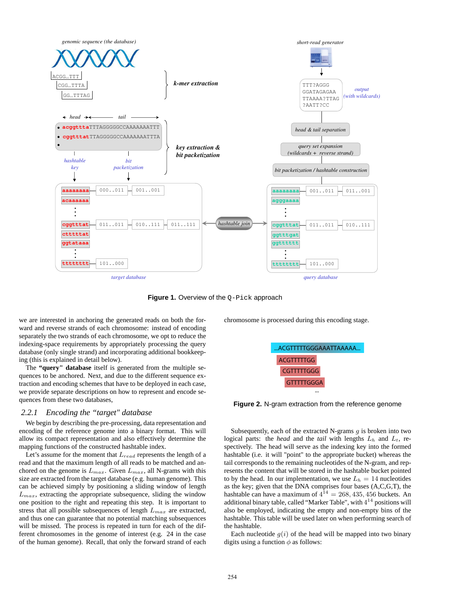

**Figure 1.** Overview of the Q-Pick approach

we are interested in anchoring the generated reads on both the forward and reverse strands of each chromosome: instead of encoding separately the two strands of each chromosome, we opt to reduce the indexing-space requirements by appropriately processing the query database (only single strand) and incorporating additional bookkeeping (this is explained in detail below).

The **"query" database** itself is generated from the multiple sequences to be anchored. Next, and due to the different sequence extraction and encoding schemes that have to be deployed in each case, we provide separate descriptions on how to represent and encode sequences from these two databases,

#### *2.2.1 Encoding the "target" database*

We begin by describing the pre-processing, data representation and encoding of the reference genome into a binary format. This will allow its compact representation and also effectively determine the mapping functions of the constructed hashtable index.

Let's assume for the moment that  $L_{read}$  represents the length of a read and that the maximum length of all reads to be matched and anchored on the genome is  $L_{max}$ . Given  $L_{max}$ , all N-grams with this size are extracted from the target database (e.g. human genome). This can be achieved simply by positioning a sliding window of length  $L_{max}$ , extracting the appropriate subsequence, sliding the window one position to the right and repeating this step. It is important to stress that all possible subsequences of length  $L_{max}$  are extracted, and thus one can guarantee that no potential matching subsequences will be missed. The process is repeated in turn for each of the different chromosomes in the genome of interest (e.g. 24 in the case of the human genome). Recall, that only the forward strand of each chromosome is processed during this encoding stage.



**Figure 2.** N-gram extraction from the reference genome

Subsequently, each of the extracted N-grams  $q$  is broken into two logical parts: the *head* and the *tail* with lengths  $L<sub>h</sub>$  and  $L<sub>t</sub>$ , respectively. The head will serve as the indexing key into the formed hashtable (i.e. it will "point" to the appropriate bucket) whereas the tail corresponds to the remaining nucleotides of the N-gram, and represents the content that will be stored in the hashtable bucket pointed to by the head. In our implementation, we use  $L_h = 14$  nucleotides as the key; given that the DNA comprises four bases (A,C,G,T), the hashtable can have a maximum of  $4^{14} = 268, 435, 456$  buckets. An additional binary table, called "Marker Table", with  $4^{14}$  positions will also be employed, indicating the empty and non-empty bins of the hashtable. This table will be used later on when performing search of the hashtable.

Each nucleotide  $g(i)$  of the head will be mapped into two binary digits using a function  $\phi$  as follows: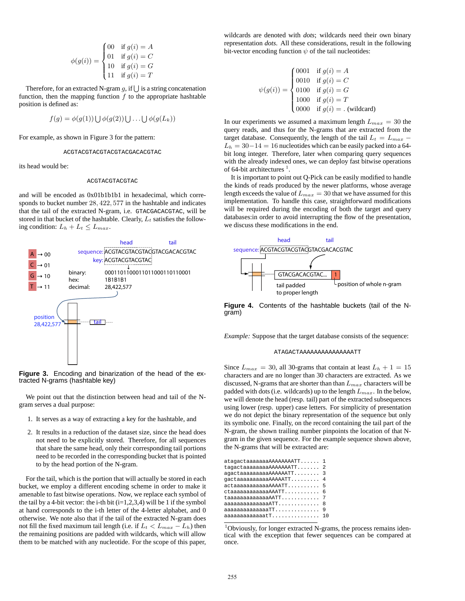$$
\phi(g(i)) = \begin{cases}\n00 & \text{if } g(i) = A \\
01 & \text{if } g(i) = C \\
10 & \text{if } g(i) = G \\
11 & \text{if } g(i) = T\n\end{cases}
$$

Therefore, for an extracted N-gram  $g$ , if  $\bigcup$  is a string concatenation function, then the mapping function  $f$  to the appropriate hashtable position is defined as:

$$
f(g) = \phi(g(1)) \bigcup \phi(g(2)) \bigcup \ldots \bigcup \phi(g(L_k))
$$

For example, as shown in Figure 3 for the pattern:

ACGTACGTACGTACGTACGACACGTAC

its head would be:

#### ACGTACGTACGTAC

and will be encoded as 0x01b1b1b1 in hexadecimal, which corresponds to bucket number 28, 422, 577 in the hashtable and indicates that the tail of the extracted N-gram, i.e. GTACGACACGTAC, will be stored in that bucket of the hashtable. Clearly,  $L_t$  satisfies the following condition:  $L_h + L_t \leq L_{max}$ .



Figure 3. Encoding and binarization of the head of the extracted N-grams (hashtable key)

We point out that the distinction between head and tail of the Ngram serves a dual purpose:

- 1. It serves as a way of extracting a key for the hashtable, and
- 2. It results in a reduction of the dataset size, since the head does not need to be explicitly stored. Therefore, for all sequences that share the same head, only their corresponding tail portions need to be recorded in the corresponding bucket that is pointed to by the head portion of the N-gram.

For the tail, which is the portion that will actually be stored in each bucket, we employ a different encoding scheme in order to make it amenable to fast bitwise operations. Now, we replace each symbol of the tail by a 4-bit vector: the i-th bit  $(i=1,2,3,4)$  will be 1 if the symbol at hand corresponds to the i-th letter of the 4-letter alphabet, and 0 otherwise. We note also that if the tail of the extracted N-gram does not fill the fixed maximum tail length (i.e. if  $L_t < L_{max} - L_h$ ) then the remaining positions are padded with wildcards, which will allow them to be matched with any nucleotide. For the scope of this paper,

wildcards are denoted with *dots*; wildcards need their own binary representation *dots*. All these considerations, result in the following bit-vector encoding function  $\psi$  of the tail nucleotides:

$$
\psi(g(i)) = \begin{cases}\n0001 & \text{if } g(i) = A \\
0010 & \text{if } g(i) = C \\
0100 & \text{if } g(i) = G \\
1000 & \text{if } g(i) = T \\
0000 & \text{if } g(i) = . \text{ (wildcard)}\n\end{cases}
$$

In our experiments we assumed a maximum length  $L_{max} = 30$  the query reads, and thus for the N-grams that are extracted from the target database. Consequently, the length of the tail  $L_t = L_{max}$  –  $L_h = 30-14 = 16$  nucleotides which can be easily packed into a 64bit long integer. Therefore, later when comparing query sequences with the already indexed ones, we can deploy fast bitwise operations of 64-bit architectures  $<sup>1</sup>$ .</sup>

It is important to point out Q-Pick can be easily modified to handle the kinds of reads produced by the newer platforms, whose average length exceeds the value of  $L_{max} = 30$  that we have assumed for this implementation. To handle this case, straightforward modifications will be required during the encoding of both the target and query databases:in order to avoid interrupting the flow of the presentation, we discuss these modifications in the end.



**Figure 4.** Contents of the hashtable buckets (tail of the Ngram)

*Example:* Suppose that the target database consists of the sequence:

#### ATAGACTAAAAAAAAAAAAAAATT

Since  $L_{max} = 30$ , all 30-grams that contain at least  $L_h + 1 = 15$ characters and are no longer than 30 characters are extracted. As we discussed, N-grams that are shorter than than  $L_{max}$  characters will be padded with dots (i.e. wildcards) up to the length  $L_{max}$ . In the below, we will denote the head (resp. tail) part of the extracted subsequences using lower (resp. upper) case letters. For simplicity of presentation we do not depict the binary representation of the sequence but only its symbolic one. Finally, on the record containing the tail part of the N-gram, the shown trailing number pinpoints the location of that Ngram in the given sequence. For the example sequence shown above, the N-grams that will be extracted are:

| atagactaaaaaaaAAAAAAAATT 1                       |   |
|--------------------------------------------------|---|
| tagactaaaaaaaaAAAAAAATT 2                        |   |
| agactaaaaaaaaaAAAAAATT 3                         |   |
| gactaaaaaaaaaaAAAAATT 4                          |   |
| actaaaaaaaaaaAAAATT                              | 5 |
|                                                  | 6 |
| taaaaaaaaaaaaAATT                                |   |
| $aaaaaaaaaaaaa$ $ATT.$                           | 8 |
| aaaaaaaaaaaaa $TT\ldots\ldots\ldots\ldots\ldots$ | 9 |
| aaaaaaaaaaaaatT                                  |   |
|                                                  |   |

<sup>1</sup>Obviously, for longer extracted N-grams, the process remains identical with the exception that fewer sequences can be compared at once.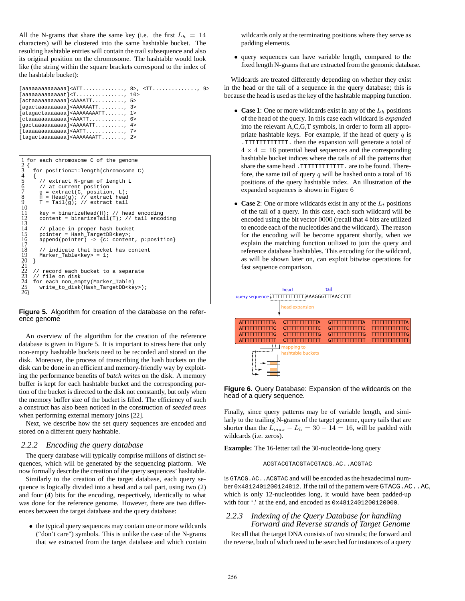All the N-grams that share the same key (i.e. the first  $L_h = 14$ characters) will be clustered into the same hashtable bucket. The resulting hashtable entries will contain the trail subsequence and also its original position on the chromosome. The hashtable would look like (the string within the square brackets correspond to the index of the hashtable bucket):

| [aaaaaaaaaaaaaaaaa] <att, 8="">, <tt, 9=""></tt,></att,>                       |  |  |
|--------------------------------------------------------------------------------|--|--|
| $[aaaaaaaaaaaaat] \langle T, \ldots, \ldots, \ldots, \ldots, 10 \rangle$       |  |  |
| $[actaaaaaaaaa] AAATT$ , 5>                                                    |  |  |
| $[aqacta aqaa aqaa] AAAAATT$ $3>$                                              |  |  |
| $\lceil \text{ataqactaaaaaa} \rceil$ <aaaaaaaaatt <math="">1&gt;</aaaaaaaaatt> |  |  |
| $[ctaaaaaaaaaa] AAATT$ 6>                                                      |  |  |
| $[qacta a a a a a a a a a] AA AATT 4>$                                         |  |  |
|                                                                                |  |  |
| $[taqactaaaaaaa] AAAAAATT 2>$                                                  |  |  |

|                                                                      |   | I for each chromosome C of the genome                                                                                                                          |
|----------------------------------------------------------------------|---|----------------------------------------------------------------------------------------------------------------------------------------------------------------|
| $\frac{2}{3}$                                                        | ł | for position=1:length(chromosome C)                                                                                                                            |
| $rac{4}{5}$<br>$\begin{array}{c} 6 \\ 7 \end{array}$<br>8<br>9<br>10 |   | // extract N-gram of length L<br>// at current position<br>$q =$ extract(C, position, L);<br>$H = Head(g)$ ; // extract head<br>$T = Tail(q); // extract tail$ |
| 11<br>12<br>13                                                       |   | $key = binarizedHead(H)$ ; // head encoding<br>content = binarizeTail(T); // tail encoding                                                                     |
| 14<br>15<br>16<br>17                                                 |   | // place in proper hash bucket<br>pointer = Hash TargetDB <key>;<br/>append(pointer) -&gt; {c: content, p:position}</key>                                      |
| 18<br>19<br>20<br>21                                                 | ₹ | // indicate that bucket has content<br>Marker Table <key> = <math>1</math>;</key>                                                                              |
| 22<br>23<br>24<br>25<br>26                                           |   | // record each bucket to a separate<br>// file on disk<br>for each non empty(Marker Table)<br>write to disk(Hash TargetDB <key>);</key>                        |

**Figure 5.** Algorithm for creation of the database on the reference genome

An overview of the algorithm for the creation of the reference database is given in Figure 5. It is important to stress here that only non-empty hashtable buckets need to be recorded and stored on the disk. Moreover, the process of transcribing the hash buckets on the disk can be done in an efficient and memory-friendly way by exploiting the performance benefits of *batch writes* on the disk. A memory buffer is kept for each hashtable bucket and the corresponding portion of the bucket is directed to the disk not constantly, but only when the memory buffer size of the bucket is filled. The efficiency of such a construct has also been noticed in the construction of *seeded trees* when performing external memory joins [22].

Next, we describe how the set query sequences are encoded and stored on a different query hashtable.

#### *2.2.2 Encoding the query database*

The query database will typically comprise millions of distinct sequences, which will be generated by the sequencing platform. We now formally describe the creation of the query sequences' hashtable.

Similarly to the creation of the target database, each query sequence is logically divided into a head and a tail part, using two (2) and four (4) bits for the encoding, respectively, identically to what was done for the reference genome. However, there are two differences between the target database and the query database:

• the typical query sequences may contain one or more wildcards ("don't care") symbols. This is unlike the case of the N-grams that we extracted from the target database and which contain

wildcards only at the terminating positions where they serve as padding elements.

• query sequences can have variable length, compared to the fixed length N-grams that are extracted from the genomic database.

Wildcards are treated differently depending on whether they exist in the head or the tail of a sequence in the query database; this is because the head is used as the key of the hashtable mapping function.

- **Case 1**: One or more wildcards exist in any of the  $L_h$  positions of the head of the query. In this case each wildcard is *expanded* into the relevant A,C,G,T symbols, in order to form all appropriate hashtable keys. For example, if the head of query  $q$  is .TTTTTTTTTTTT. then the expansion will generate a total of  $4 \times 4 = 16$  potential head sequences and the corresponding hashtable bucket indices where the tails of all the patterns that share the same head .TTTTTTTTTTTT. are to be found. Therefore, the same tail of query  $q$  will be hashed onto a total of 16 positions of the query hashtable index. An illustration of the expanded sequences is shown in Figure 6
- **Case 2**: One or more wildcards exist in any of the  $L_t$  positions of the tail of a query. In this case, each such wildcard will be encoded using the bit vector 0000 (recall that 4 bits are utilized to encode each of the nucleotides and the wildcard). The reason for the encoding will be become apparent shortly, when we explain the matching function utilized to join the query and reference database hashtables. This encoding for the wildcard, as will be shown later on, can exploit bitwise operations for fast sequence comparison.





Finally, since query patterns may be of variable length, and similarly to the trailing N-grams of the target genome, query tails that are shorter than the  $L_{max} - L_h = 30 - 14 = 16$ , will be padded with wildcards (i.e. zeros).

**Example:** The 16-letter tail the 30-nucleotide-long query

ACGTACGTACGTACGTACG.AC..ACGTAC

is GTACG.AC..ACGTAC and will be encoded as the hexadecimal number 0x4812401200124812. If the tail of the pattern were GTACG.AC..AC, which is only 12-nucleotides long, it would have been padded-up with four '.' at the end, and encoded as  $0 \times 4812401200120000$ .

## *2.2.3 Indexing of the Query Database for handling Forward and Reverse strands of Target Genome*

Recall that the target DNA consists of two strands; the forward and the reverse, both of which need to be searched for instances of a query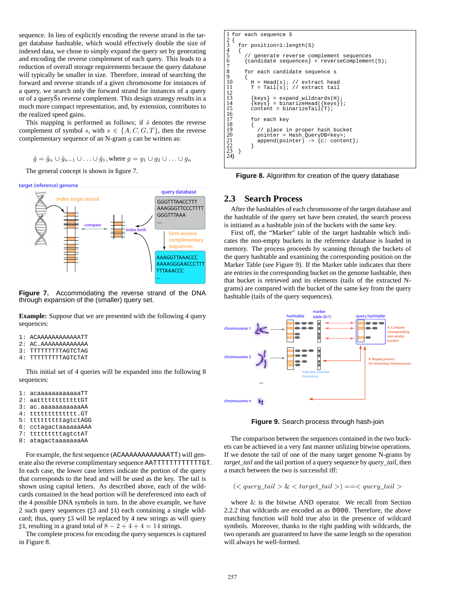sequence. In lieu of explicitly encoding the reverse strand in the target database hashtable, which would effectively double the size of indexed data, we chose to simply expand the query set by generating and encoding the reverse complement of each query. This leads to a reduction of overall storage requirements because the query database will typically be smaller in size. Therefore, instead of searching the forward and reverse strands of a given chromosome for instances of a query, we search only the forward strand for instances of a query or of a queryŠs reverse complement. This design strategy results in a much more compact representation, and, by extension, contributes to the realized speed gains.

This mapping is performed as follows; if  $\hat{s}$  denotes the reverse complement of symbol s, with  $s \in \{A, C, G, T\}$ , then the reverse complementary sequence of an N-gram  $g$  can be written as:

$$
\hat{g} = \hat{g}_n \cup \hat{g}_{n-1} \cup \ldots \cup \hat{g}_1, \text{where } g = g_1 \cup g_2 \cup \ldots \cup g_n
$$

The general concept is shown in figure 7.



**Figure 7.** Accommodating the reverse strand of the DNA through expansion of the (smaller) query set.

**Example:** Suppose that we are presented with the following 4 query sequences:

- 1: ACAAAAAAAAAAAATT
- 2: AC.AAAAAAAAAAAAA
- 3: TTTTTTTTTAGTCTAG
- 4: TTTTTTTTTAGTCTAT

This initial set of 4 queries will be expanded into the following 8 sequences:

```
1: acaaaaaaaaaaaaTT
```
- 2: aattttttttttttGT
- 3: ac.aaaaaaaaaaaAA
- 4: ttttttttttttt.GT
- 5: tttttttttagtctAGG
- 6: cctagactaaaaaaAAA
- 7: tttttttttagtctAT
- 8: atagactaaaaaaaAA

For example, the first sequence (ACAAAAAAAAAAAATT) will generate also the reverse complimentary sequence AATTTTTTTTTTTTCT. In each case, the lower case letters indicate the portion of the query that corresponds to the head and will be used as the key. The tail is shown using capital letters. As described above, each of the wildcards contained in the head portion will be dereferenced into each of the 4 possible DNA symbols in turn. In the above example, we have 2 such query sequences ( $\sharp 3$  and  $\sharp 4$ ) each containing a single wildcard; thus, query  $\sharp 3$  will be replaced by 4 new strings as will query  $\sharp 4$ , resulting in a grand total of 8 − 2 + 4 + 4 = 14 strings.

The complete process for encoding the query sequences is captured in Figure 8.

```
for each sequence S
2 {
    for position=1:length(S)
4 {
          generate reverse complement sequences
       {candidate sequences} = reverseComplement(S);7
       for each candidate sequence s
9 {
         H = Head(s); // extract head<br>
T = Tail(s); // extract tail
           = Tail(s); //
12
          \{keys\} = expand wildcards(H);
                  = binarizedHead({key};\text{content} = \text{binarizeTail}(\texttt{T})16
         for each key
18 {
            // place in proper hash bucket
20 pointer = Hash_QueryDB<key>;
21 append(pointer) -> {c: content};
\begin{array}{c} 22 \\ 23 \\ 24 \end{array} }
```
**Figure 8.** Algorithm for creation of the query database

#### **2.3 Search Process**

After the hashtables of each chromosome of the target database and the hashtable of the query set have been created, the search process is initiated as a hashtable join of the buckets with the same key.

First off, the "Marker" table of the target hashtable which indicates the non-empty buckets in the reference database is loaded in memory. The process proceeds by scanning through the buckets of the query hashtable and examining the corresponding position on the Marker Table (see Figure 9). If the Marker table indicates that there are entries in the corresponding bucket on the genome hashtable, then that bucket is retrieved and its elements (tails of the extracted Ngrams) are compared with the bucket of the same key from the query hashtable (tails of the query sequences).



**Figure 9.** Search process through hash-join

The comparison between the sequences contained in the two buckets can be achieved in a very fast manner utilizing bitwise operations. If we denote the tail of one of the many target genome N-grams by *target\_tail* and the tail portion of a query sequence by *query\_tail*, then a match between the two is successful iff:

 $(*query\_tail* > < target\_tail$   $> = *query\_tail*$ 

where  $\&$  is the bitwise AND operator. We recall from Section 2.2.2 that wildcards are encoded as as 0000. Therefore, the above matching function will hold true also in the presence of wildcard symbols. Moreover, thanks to the right padding with wildcards, the two operands are guaranteed to have the same length so the operation will always be well-formed.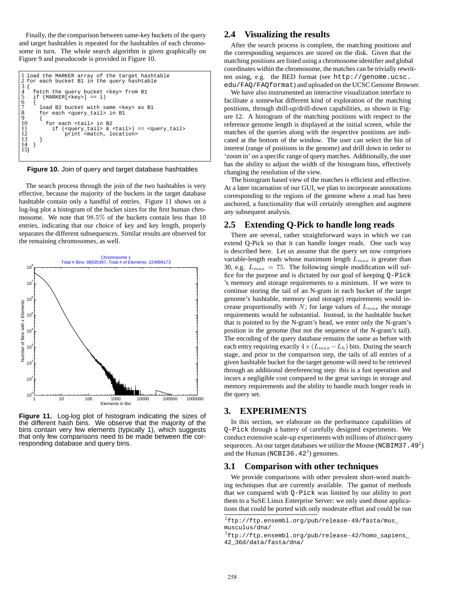Finally, the the comparison between same-key buckets of the query and target hashtables is repeated for the hashtables of each chromosome in turn. The whole search algorithm is given graphically on Figure 9 and pseudocode is provided in Figure 10.

| I load the MARKER array of the target hashtable<br>2 for each bucket B1 in the query hashtable                                                                   |  |
|------------------------------------------------------------------------------------------------------------------------------------------------------------------|--|
| fetch the query bucket <key> from B1<br/>5<br/>if <math>(MARKER[<key>]==1)</key></math></key>                                                                    |  |
| $\overline{6}$<br>load B2 bucket with same <key> as B1<br/><math>\frac{8}{9}</math><br/>for each <query tail=""> in B1</query></key>                             |  |
| 10<br>for each stail> in B2<br>11<br>if ( <query tail=""> &amp; <tail>) == <query tail=""><br/>12<br/>print <match, location=""></match,></query></tail></query> |  |
| 13<br>14                                                                                                                                                         |  |

**Figure 10.** Join of query and target database hashtables

The search process through the join of the two hashtables is very effective, because the majority of the buckets in the target database hashtable contain only a handful of entries. Figure 11 shows on a log-log plot a histogram of the bucket sizes for the first human chromosome. We note that 98.5% of the buckets contain less than 10 entries, indicating that our choice of key and key length, properly separates the different subsequences. Similar results are observed for the remaining chromosomes, as well.



**Figure 11.** Log-log plot of histogram indicating the sizes of the different hash bins. We observe that the majority of the bins contain very few elements (typically 1), which suggests that only few comparisons need to be made between the corresponding database and query bins.

#### **2.4 Visualizing the results**

After the search process is complete, the matching positions and the corresponding sequences are stored on the disk. Given that the matching positions are listed using a chromosome identifier and global coordinates within the chromosome, the matches can be trivially rewritten using, e.g. the BED format (see http://genome.ucsc. edu/FAQ/FAQformat) and uploaded on the UCSC Genome Browser.

We have also instrumented an interactive visualization interface to facilitate a somewhat different kind of exploration of the matching positions, through drill-up/drill-down capabilities, as shown in Figure 12. A histogram of the matching positions with respect to the reference genome length is displayed at the initial screen, while the matches of the queries along with the respective positions are indicated at the bottom of the window. The user can select the bin of interest (range of positions in the genome) and drill down in order to 'zoom in' on a specific range of query matches. Additionally, the user has the ability to adjust the width of the histogram bins, effectively changing the resolution of the view.

The histogram based view of the matches is efficient and effective. At a later incarnation of our GUI, we plan to incorporate annotations corresponding to the regions of the genome where a read has been anchored, a functionality that will certainly strengthen and augment any subsequent analysis.

#### **2.5 Extending Q-Pick to handle long reads**

There are several, rather straightforward ways in which we can extend Q-Pick so that it can handle longer reads. One such way is described here. Let us assume that the query set now comprises variable-length reads whose maximum length  $L_{max}$  is greater than 30, e.g.  $L_{max} = 75$ . The following simple modification will suffice for the purpose and is dictated by our goal of keeping Q-Pick 's memory and storage requirements to a minimum. If we were to continue storing the tail of an N-gram in each bucket of the target genome's hashtable, memory (and storage) requirements would increase proportionally with  $N$ ; for large values of  $L_{max}$  the storage requirements would be substantial. Instead, in the hashtable bucket that is pointed to by the N-gram's head, we enter only the N-gram's position in the genome (but not the sequence of the N-gram's tail). The encoding of the query database remains the same as before with each entry requiring exactly  $4 \times (L_{max} - L_h)$  bits. During the search stage, and prior to the comparison step, the tails of all entries of a given hashtable bucket for the target genome will need to be retrieved through an additional dereferencing step: this is a fast operation and incurs a negligible cost compared to the great savings in storage and memory requirements and the ability to handle much longer reads in the query set.

#### **3. EXPERIMENTS**

In this section, we elaborate on the performance capabilities of Q-Pick through a battery of carefully designed experiments. We conduct extensive scale-up experiments with millions of *distinct* query sequences. As our target databases we utilize the Mouse (NCBIM37.49<sup>2</sup>) and the Human (NCBI36.42<sup>3</sup>) genomes.

#### **3.1 Comparison with other techniques**

We provide comparisons with other prevalent short-word matching techniques that are currently available. The gamut of methods that we compared with Q-Pick was limited by our ability to port them to a SuSE Linux Enterprise Server: we only used those applications that could be ported with only moderate effort and could be run

 $^{2}$ ftp://ftp.ensembl.org/pub/release-49/fasta/mus\_ musculus/dna/

<sup>3</sup> ftp://ftp.ensembl.org/pub/release-42/homo\_sapiens\_ 42\_36d/data/fasta/dna/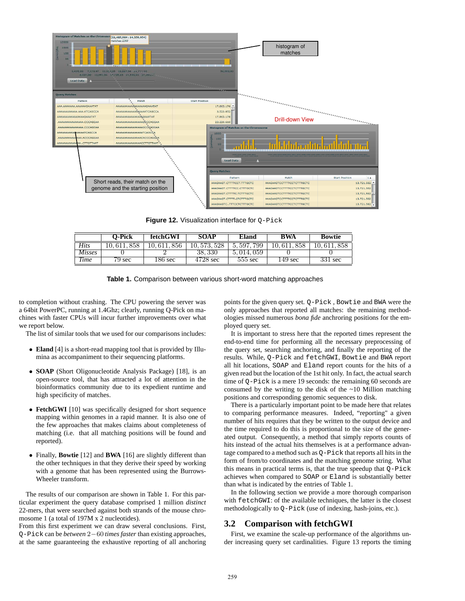

**Figure 12.** Visualization interface for Q-Pick

|               | O-Pick | fetchGWI   | <b>SOAP</b>        | Eland        | BWA          | <b>Bowtie</b> |
|---------------|--------|------------|--------------------|--------------|--------------|---------------|
| Hits          | 358    | 856<br>١υ. | 10, 573, 528       | 799<br>5.597 | 858<br>. 617 | 858           |
| <i>Misses</i> |        |            | 38.330             | 5, 014, 059  |              |               |
| <b>Time</b>   | 79 sec | 186 sec    | $4728 \text{ sec}$ | $555$ sec    | 149 sec      | 331 sec       |



to completion without crashing. The CPU powering the server was a 64bit PowerPC, running at 1.4Ghz; clearly, running Q-Pick on machines with faster CPUs will incur further improvements over what we report below.

The list of similar tools that we used for our comparisons includes:

- **Eland** [4] is a short-read mapping tool that is provided by Illumina as accompaniment to their sequencing platforms.
- **SOAP** (Short Oligonucleotide Analysis Package) [18], is an open-source tool, that has attracted a lot of attention in the bioinformatics community due to its expedient runtime and high specificity of matches.
- **FetchGWI** [10] was specifically designed for short sequence mapping within genomes in a rapid manner. It is also one of the few approaches that makes claims about completeness of matching (i.e. that all matching positions will be found and reported).
- Finally, **Bowtie** [12] and **BWA** [16] are slightly different than the other techniques in that they derive their speed by working with a genome that has been represented using the Burrows-Wheeler transform.

The results of our comparison are shown in Table 1. For this particular experiment the query database comprised 1 million *distinct* 22-mers, that were searched against both strands of the mouse chromosome 1 (a total of 197M x 2 nucleotides).

From this first experiment we can draw several conclusions. First, Q-Pick can be *between* 2−60 *times faster* than existing approaches, at the same guaranteeing the exhaustive reporting of all anchoring points for the given query set. Q-Pick , Bowtie and BWA were the only approaches that reported all matches: the remaining methodologies missed numerous *bona fide* anchroring positions for the employed query set.

It is important to stress here that the reported times represent the end-to-end time for performing all the necessary preprocessing of the query set, searching anchoring, and finally the reporting of the results. While, Q-Pick and fetchGWI, Bowtie and BWA report all hit locations, SOAP and Eland report counts for the hits of a given read but the location of the 1st hit only. In fact, the actual search time of Q-Pick is a mere 19 seconds: the remaining 60 seconds are consumed by the writing to the disk of the  $\sim$ 10 Million matching positions and corresponding genomic sequences to disk.

There is a particularly important point to be made here that relates to comparing performance measures. Indeed, "reporting" a given number of hits requires that they be written to the output device and the time required to do this is proportional to the size of the generated output. Consequently, a method that simply reports counts of hits instead of the actual hits themselves is at a performance advantage compared to a method such as Q-Pick that reports all hits in the form of from/to coordinates and the matching genome string. What this means in practical terms is, that the true speedup that Q-Pick achieves when compared to SOAP or Eland is substantially better than what is indicated by the entries of Table 1.

In the following section we provide a more thorough comparison with fetchGWI: of the available techniques, the latter is the closest methodologically to Q-Pick (use of indexing, hash-joins, etc.).

#### **3.2 Comparison with fetchGWI**

First, we examine the scale-up performance of the algorithms under increasing query set cardinalities. Figure 13 reports the timing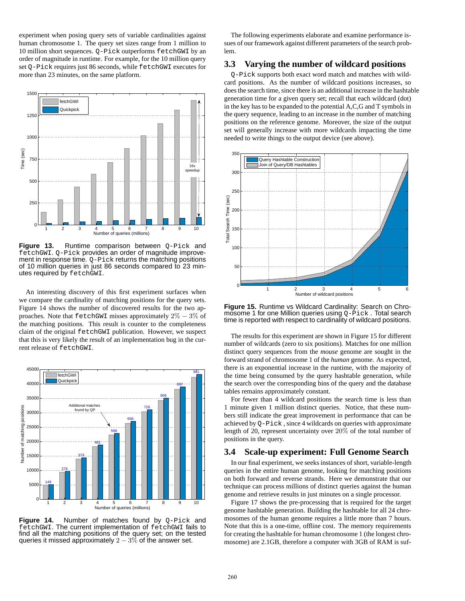experiment when posing query sets of variable cardinalities against human chromosome 1. The query set sizes range from 1 million to 10 million short sequences. Q-Pick outperforms fetchGWI by an order of magnitude in runtime. For example, for the 10 million query set Q-Pick requires just 86 seconds, while fetchGWI executes for more than 23 minutes, on the same platform.



**Figure 13.** Runtime comparison between Q-Pick and fetchGWI. Q-Pick provides an order of magnitude improvement in response time. Q-Pick returns the matching positions of 10 million queries in just 86 seconds compared to 23 minutes required by fetchGWI.

An interesting discovery of this first experiment surfaces when we compare the cardinality of matching positions for the query sets. Figure 14 shows the number of discovered results for the two approaches. Note that fetchGWI misses approximately  $2\% - 3\%$  of the matching positions. This result is counter to the completeness claim of the original fetchGWI publication. However, we suspect that this is very likely the result of an implementation bug in the current release of fetchGWI.



Figure 14. Number of matches found by Q-Pick and fetchGWI. The current implementation of fetchGWI fails to find all the matching positions of the query set; on the tested queries it missed approximately  $2 - 3\%$  of the answer set.

The following experiments elaborate and examine performance issues of our framework against different parameters of the search problem.

## **3.3 Varying the number of wildcard positions**

Q-Pick supports both exact word match and matches with wildcard positions. As the number of wildcard positions increases, so does the search time, since there is an additional increase in the hashtable generation time for a given query set; recall that each wildcard (dot) in the key has to be expanded to the potential A,C,G and T symbols in the query sequence, leading to an increase in the number of matching positions on the reference genome. Moreover, the size of the output set will generally increase with more wildcards impacting the time needed to write things to the output device (see above).



**Figure 15.** Runtime vs Wildcard Cardinality: Search on Chromosome 1 for one Million queries using Q-Pick. Total search time is reported with respect to cardinality of wildcard positions.

The results for this experiment are shown in Figure 15 for different number of wildcards (zero to six positions). Matches for one million distinct query sequences from the *mouse* genome are sought in the forward strand of chromosome 1 of the *human* genome. As expected, there is an exponential increase in the runtime, with the majority of the time being consumed by the query hashtable generation, while the search over the corresponding bins of the query and the database tables remains approximately constant.

For fewer than 4 wildcard positions the search time is less than 1 minute given 1 million distinct queries. Notice, that these numbers still indicate the great improvement in performance that can be achieved by Q-Pick , since 4 wildcards on queries with approximate length of 20, represent uncertainty over 20% of the total number of positions in the query.

## **3.4 Scale-up experiment: Full Genome Search**

In our final experiment, we seeks instances of short, variable-length queries in the entire human genome, looking for matching positions on both forward and reverse strands. Here we demonstrate that our technique can process millions of distinct queries against the human genome and retrieve results in just minutes on a single processor.

Figure 17 shows the pre-processing that is required for the target genome hashtable generation. Building the hashtable for all 24 chromosomes of the human genome requires a little more than 7 hours. Note that this is a one-time, offline cost. The memory requirements for creating the hashtable for human chromosome 1 (the longest chromosome) are 2.1GB, therefore a computer with 3GB of RAM is suf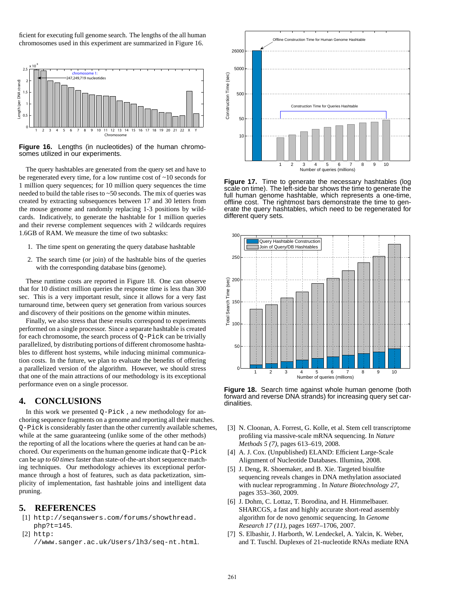ficient for executing full genome search. The lengths of the all human chromosomes used in this experiment are summarized in Figure 16.



**Figure 16.** Lengths (in nucleotides) of the human chromosomes utilized in our experiments.

The query hashtables are generated from the query set and have to be regenerated every time, for a low runtime cost of ~10 seconds for 1 million query sequences; for 10 million query sequences the time needed to build the table rises to ~50 seconds. The mix of queries was created by extracting subsequences between 17 and 30 letters from the mouse genome and randomly replacing 1-3 positions by wildcards. Indicatively, to generate the hashtable for 1 million queries and their reverse complement sequences with 2 wildcards requires 1.6GB of RAM. We measure the time of two subtasks:

- 1. The time spent on generating the query database hashtable
- 2. The search time (or join) of the hashtable bins of the queries with the corresponding database bins (genome).

These runtime costs are reported in Figure 18. One can observe that for 10 distinct million queries the response time is less than 300 sec. This is a very important result, since it allows for a very fast turnaround time, between query set generation from various sources and discovery of their positions on the genome within minutes.

Finally, we also stress that these results correspond to experiments performed on a single processor. Since a separate hashtable is created for each chromosome, the search process of  $Q$ -Pick can be trivially parallelized, by distributing portions of different chromosome hashtables to different host systems, while inducing minimal communication costs. In the future, we plan to evaluate the benefits of offering a parallelized version of the algorithm. However, we should stress that one of the main attractions of our methodology is its exceptional performance even on a single processor.

## **4. CONCLUSIONS**

In this work we presented Q-Pick , a new methodology for anchoring sequence fragments on a genome and reporting all their matches. Q-Pick is considerably faster than the other currently available schemes, while at the same guaranteeing (unlike some of the other methods) the reporting of all the locations where the queries at hand can be anchored. Our experiments on the human genome indicate that Q-Pick can be *up to 60 times* faster than state-of-the-art short sequence matching techniques. Our methodology achieves its exceptional performance through a host of features, such as data packetization, simplicity of implementation, fast hashtable joins and intelligent data pruning.

#### **5. REFERENCES**

- [1] http://seqanswers.com/forums/showthread. php?t=145.
- [2] http:

//www.sanger.ac.uk/Users/lh3/seq-nt.html.



**Figure 17.** Time to generate the necessary hashtables (log scale on time). The left-side bar shows the time to generate the full human genome hashtable, which represents a one-time, offline cost. The rightmost bars demonstrate the time to generate the query hashtables, which need to be regenerated for different query sets.



**Figure 18.** Search time against whole human genome (both forward and reverse DNA strands) for increasing query set cardinalities.

- [3] N. Cloonan, A. Forrest, G. Kolle, et al. Stem cell transcriptome profiling via massive-scale mRNA sequencing. In *Nature Methods 5 (7)*, pages 613–619, 2008.
- [4] A. J. Cox. (Unpublished) ELAND: Efficient Large-Scale Alignment of Nucleotide Databases. Illumina, 2008.
- [5] J. Deng, R. Shoemaker, and B. Xie. Targeted bisulfite sequencing reveals changes in DNA methylation associated with nuclear reprogramming . In *Nature Biotechnology 27*, pages 353–360, 2009.
- [6] J. Dohm, C. Lottaz, T. Borodina, and H. Himmelbauer. SHARCGS, a fast and highly accurate short-read assembly algorithm for de novo genomic sequencing. In *Genome Research 17 (11)*, pages 1697–1706, 2007.
- [7] S. Elbashir, J. Harborth, W. Lendeckel, A. Yalcin, K. Weber, and T. Tuschl. Duplexes of 21-nucleotide RNAs mediate RNA